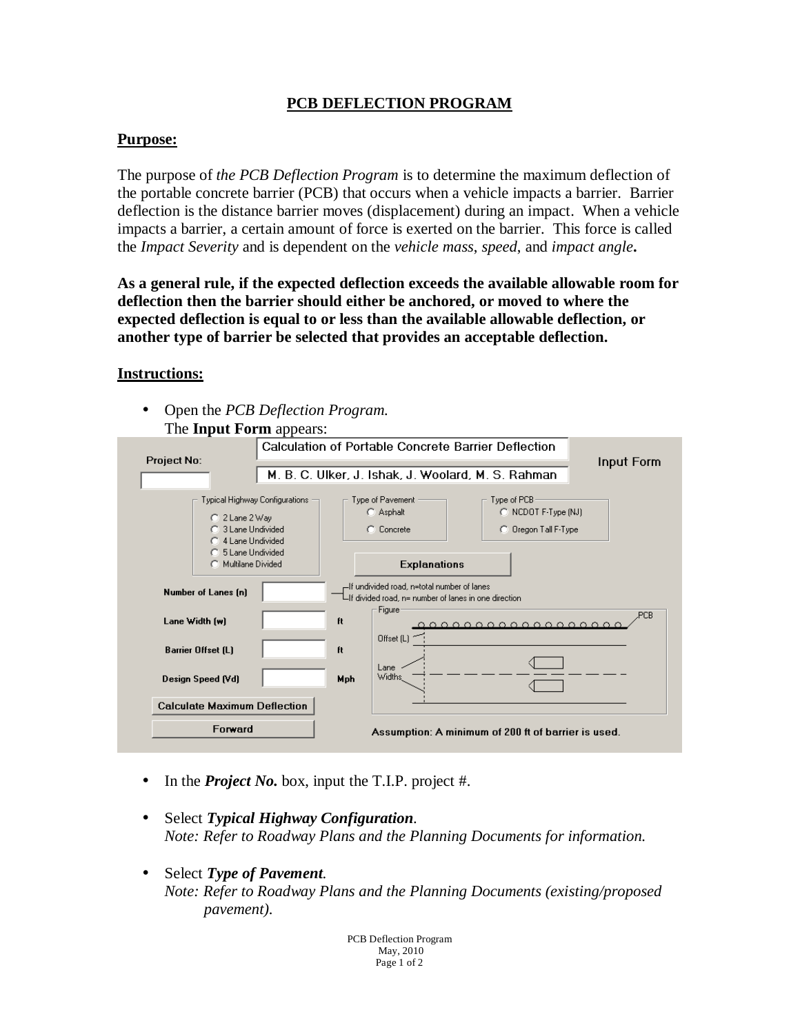## **PCB DEFLECTION PROGRAM**

## **Purpose:**

The purpose of *the PCB Deflection Program* is to determine the maximum deflection of the portable concrete barrier (PCB) that occurs when a vehicle impacts a barrier. Barrier deflection is the distance barrier moves (displacement) during an impact. When a vehicle impacts a barrier, a certain amount of force is exerted on the barrier. This force is called the *Impact Severity* and is dependent on the *vehicle mass*, *speed*, and *impact angle***.** 

**As a general rule, if the expected deflection exceeds the available allowable room for deflection then the barrier should either be anchored, or moved to where the expected deflection is equal to or less than the available allowable deflection, or another type of barrier be selected that provides an acceptable deflection.** 

## **Instructions:**

• Open the *PCB Deflection Program.* The **Input Form** appears:

| THE <b>INDUCT OF THE APPEARS.</b>                                                                                           |                                                     |                                                     |                                                            |     |
|-----------------------------------------------------------------------------------------------------------------------------|-----------------------------------------------------|-----------------------------------------------------|------------------------------------------------------------|-----|
|                                                                                                                             | Calculation of Portable Concrete Barrier Deflection |                                                     |                                                            |     |
| <b>Project No:</b>                                                                                                          |                                                     | Input Form                                          |                                                            |     |
|                                                                                                                             |                                                     | M. B. C. Ulker, J. Ishak, J. Woolard, M. S. Rahman  |                                                            |     |
|                                                                                                                             |                                                     |                                                     |                                                            |     |
| Typical Highway Configurations<br>C 2 Lane 2 Way<br>C 3 Lane Undivided<br>C 4 Lane Undivided                                |                                                     | Type of Pavement<br>C Asphalt<br>C Concrete         | Type of PCB<br>C NCDOT F-Type (NJ)<br>C Oregon Tall F-Type |     |
| C 5 Lane Undivided                                                                                                          |                                                     |                                                     |                                                            |     |
| Multilane Divided                                                                                                           |                                                     | <b>Explanations</b>                                 |                                                            |     |
| -If undivided road, n=total number of lanes<br>Number of Lanes [n]<br>-If divided road, n= number of lanes in one direction |                                                     |                                                     |                                                            |     |
| Lane Width [w]                                                                                                              | ft                                                  | Figure                                              |                                                            | PCB |
| <b>Barrier Offset (L)</b>                                                                                                   | ft                                                  | Offset (L)                                          |                                                            |     |
| Design Speed (Vd)                                                                                                           | Mph                                                 | Lane<br>Widths,                                     |                                                            |     |
| <b>Calculate Maximum Deflection</b>                                                                                         |                                                     |                                                     |                                                            |     |
| Forward                                                                                                                     |                                                     | Assumption: A minimum of 200 ft of barrier is used. |                                                            |     |

- In the *Project No.* box, input the T.I.P. project #.
- Select *Typical Highway Configuration*. *Note: Refer to Roadway Plans and the Planning Documents for information.*
- Select *Type of Pavement*. *Note: Refer to Roadway Plans and the Planning Documents (existing/proposed pavement).*